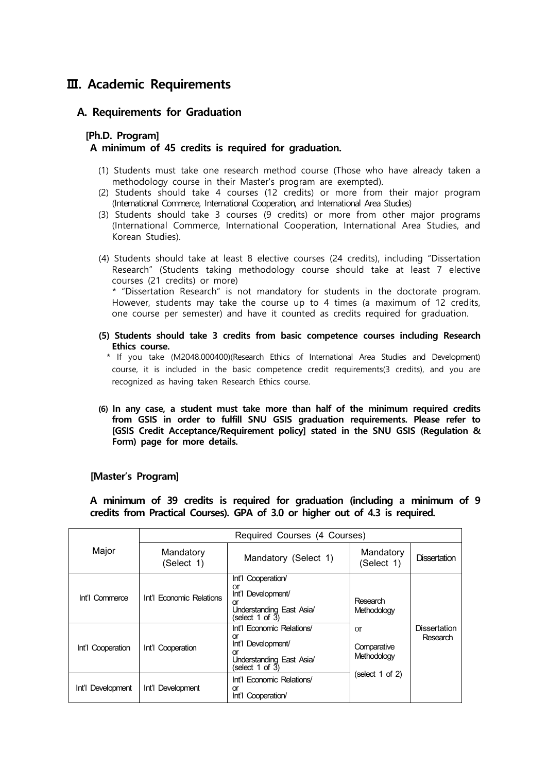## **Ⅲ. Academic Requirements**

## **A. Requirements for Graduation**

## **[Ph.D. Program] A minimum of 45 credits is required for graduation.**

- (1) Students must take one research method course (Those who have already taken a
- methodology course in their Master's program are exempted). (2) Students should take 4 courses (12 credits) or more from their major program (International Commerce, International Cooperation, and International Area Studies)
- (3) Students should take 3 courses (9 credits) or more from other major programs (International Commerce, International Cooperation, International Area Studies, and Korean Studies).
- (4) Students should take at least 8 elective courses (24 credits), including "Dissertation Research" (Students taking methodology course should take at least 7 elective courses (21 credits) or more)<br>\* "Dissertation Research" is not mandatory for students in the doctorate program. However, students may take the course up to 4 times (a maximum of 12 credits,

one course per semester) and have it counted as credits required for graduation.

**(5) Students should take 3 credits from basic competence courses including Research Ethics course.**

 \* If you take (M2048.000400)(Research Ethics of International Area Studies and Development) course, it is included in the basic competence credit requirements(3 credits), and you are recognized as having taken Research Ethics course.

**(6) In any case, a student must take more than half of the minimum required credits from GSIS in order to fulfill SNU GSIS graduation requirements. Please refer to [GSIS Credit Acceptance/Requirement policy] stated in the SNU GSIS (Regulation & Form) page for more details.**

## **[Master's Program]**

**A minimum of 39 credits is required for graduation (including a minimum of 9 credits from Practical Courses). GPA of 3.0 or higher out of 4.3 is required.**

| Major             | Required Courses (4 Courses) |                                                                                                              |                                                                                |                                 |  |
|-------------------|------------------------------|--------------------------------------------------------------------------------------------------------------|--------------------------------------------------------------------------------|---------------------------------|--|
|                   | Mandatory<br>(Select 1)      | Mandatory (Select 1)                                                                                         | Mandatory<br>(Select 1)                                                        | Dissertation                    |  |
| Int'l Commerce    | Int'l Economic Relations     | Int'l Cooperation/<br>or<br>Int'l Development/<br>Ωr<br>Understanding East Asia/<br>(select 1 of 3)          | Research<br>Methodology<br>or<br>Comparative<br>Methodology<br>(select 1 of 2) | <b>Dissertation</b><br>Research |  |
| Int'l Cooperation | Cooperation<br>Int'l         | Int'l Economic Relations/<br>or<br>Int'l Development/<br>or<br>Understanding East Asia/<br>(select 1 of $3)$ |                                                                                |                                 |  |
| Int'l Development | Int'l Development            | Int'l Economic Relations/<br>or<br>Int'l Cooperation                                                         |                                                                                |                                 |  |